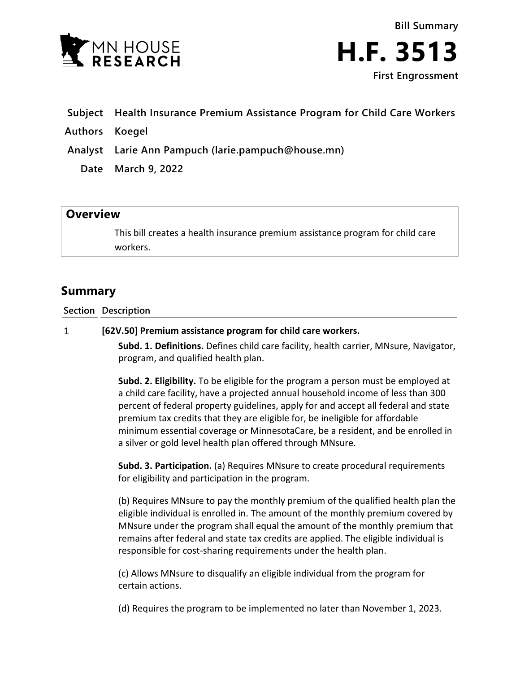

**Bill Summary H.F. 3513 First Engrossment**

- **Subject Health Insurance Premium Assistance Program for Child Care Workers**
- **Authors Koegel**
- **Analyst Larie Ann Pampuch (larie.pampuch@house.mn)**
	- **Date March 9, 2022**

## **Overview**

This bill creates a health insurance premium assistance program for child care workers.

## **Summary**

**Section Description**

## $\mathbf{1}$ **[62V.50] Premium assistance program for child care workers.**

**Subd. 1. Definitions.** Defines child care facility, health carrier, MNsure, Navigator, program, and qualified health plan.

**Subd. 2. Eligibility.** To be eligible for the program a person must be employed at a child care facility, have a projected annual household income of less than 300 percent of federal property guidelines, apply for and accept all federal and state premium tax credits that they are eligible for, be ineligible for affordable minimum essential coverage or MinnesotaCare, be a resident, and be enrolled in a silver or gold level health plan offered through MNsure.

**Subd. 3. Participation.** (a) Requires MNsure to create procedural requirements for eligibility and participation in the program.

(b) Requires MNsure to pay the monthly premium of the qualified health plan the eligible individual is enrolled in. The amount of the monthly premium covered by MNsure under the program shall equal the amount of the monthly premium that remains after federal and state tax credits are applied. The eligible individual is responsible for cost-sharing requirements under the health plan.

(c) Allows MNsure to disqualify an eligible individual from the program for certain actions.

(d) Requires the program to be implemented no later than November 1, 2023.